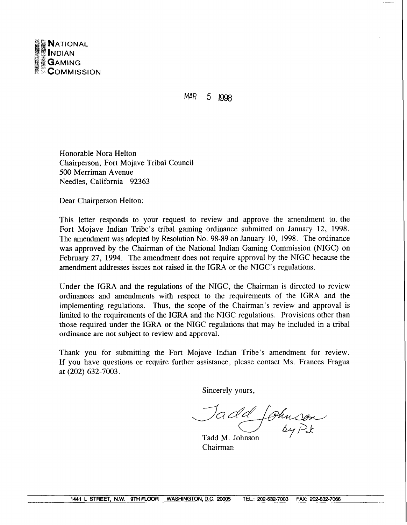

## $MAR$  5 1998

Honorable Nora Helton Chairperson, Fort Mojave Tribal Council 500 Merriman Avenue Needles, California 92363

Dear Chairperson Helton:

This letter responds to your request to review and approve the amendment to. the Fort Mojave Indian Tribe's tribal gaming ordinance submitted on January 12, 1998. The amendment was adopted by Resolution No. 98-89 on January 10, 1998. The ordinance was approved by the Chairman of the National Indian Gaming Commission (NIGC) on February 27, 1994. The amendment does not require approval by the NIGC because the amendment addresses issues not raised in the IGRA or the NIGC's regulations.

Under the IGRA and the regulations of the NIGC, the Chairman is directed to review ordinances and amendments with respect to the requirements of the IGRA and the implementing regulations. Thus, the scope of the Chairman's review and approval is limited to the requirements of the IGRA and the NIGC regulations. Provisions other than those required under the IGRA or the NIGC regulations that may be included in a tribal ordinance are not subject to review and approval.

Thank you for submitting the Fort Mojave Indian Tribe's amendment for review. If you have questions or require further assistance, please contact Ms. Frances Fragua at (202) 632-7003.

Sincerely yours,

Jadd Johnson

Chairman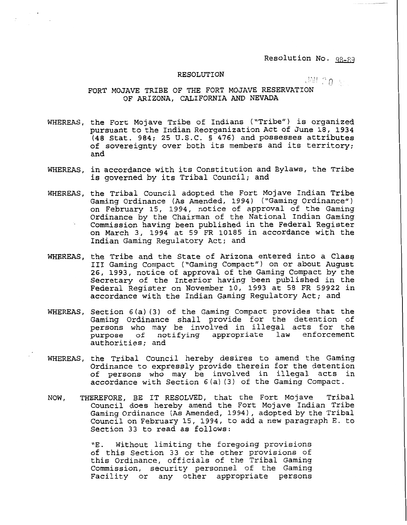Resolution No. 98-89

## $RESOLUTION$

 $JML2n +$ 

## FORT MOJAVE TRIBE OF THE FORT MOJAVE RESERVATION OF ARIZONA, CALIFORNIA AND NEVADA

- WHEREAS, the Fort Mojave Tribe of Indians ("Tribe") is organized pursuant to the Indian Reorganization Act of June 18, 1934 (48 Stat. 984; 25 U.S.C. **5** 476) and possesses attributes of sovereignty over both its members and its territory; and
- WHEREAS, in accordance with its Constitution and Bylaws, the Tribe is governed by its Tribal Council; and
- WHEREAS, the Tribal Council adopted the Fort Mojave Indian Tribe Gaming Ordinance (As Amended, 1994) ("Gaming Ordinance") on February 15, 1994, notice of approval of the Gaming<br>Ordinance by the Chairman of the National Indian Gaming Commission having been published in the Federal Register on March 3, 1994 at 59 FR 10185 in accordance with the Indian Gaming Regulatory Act; and
- WHEREAS, the Tribe and the State of Arizona entered into a Class I11 Gaming Compact ("Gaming Compact") on or about August 26, 1993, notice of approval of the Gaming Compact by the Secretary of the Interior having been published in the Federal Register on November 10, 1993 at 58 FR 59922 in accordance with the Indian Gaming Regulatory Act; and
- WHEREAS, Section 6 (a) (3) of the Gaming Compact provides that the Gaming Ordinance shall provide for the detention of persons who may be involved in illegal acts for the **purpose of notifying** appropriate **law** enforcement authorities; and
- WHEREAS, the Tribal Council hereby desires to amend the Gaming Ordinance to expressly provide therein for the detention of persons who may be involved in illegal acts in accordance with Section 6(a) (3) of the Gaming Compact.
- NOW, THEREFORE, BE IT RESOLVED, that the Fort Mojave Tribal Council does hereby amend the Fort Mojave Indian Tribe Gaming Ordinance (As Amended, 1994), adopted by the Tribal Council on February 15, 1994, to add a new paragraph E. to Section 33 to read as follows:

**"E.** Without limiting the foregoing provisions of this Section 33 or the other provisions of this Ordinance, officials of the Tribal Gaming Commission, security personnel of the Gaming Facility or any other appropriate persons